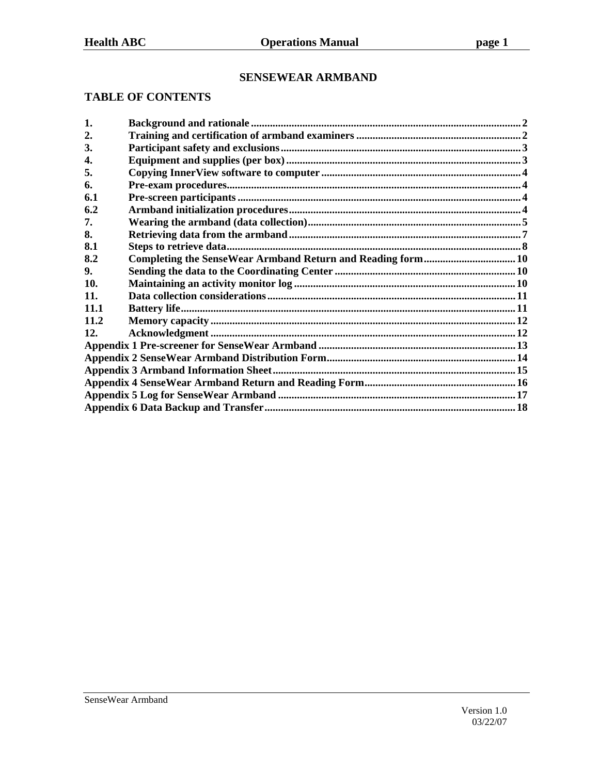### **SENSEWEAR ARMBAND**

#### **TABLE OF CONTENTS**

| 1.   |  |
|------|--|
| 2.   |  |
| 3.   |  |
| 4.   |  |
| 5.   |  |
| 6.   |  |
| 6.1  |  |
| 6.2  |  |
| 7.   |  |
| 8.   |  |
| 8.1  |  |
| 8.2  |  |
| 9.   |  |
| 10.  |  |
| 11.  |  |
| 11.1 |  |
| 11.2 |  |
| 12.  |  |
|      |  |
|      |  |
|      |  |
|      |  |
|      |  |
|      |  |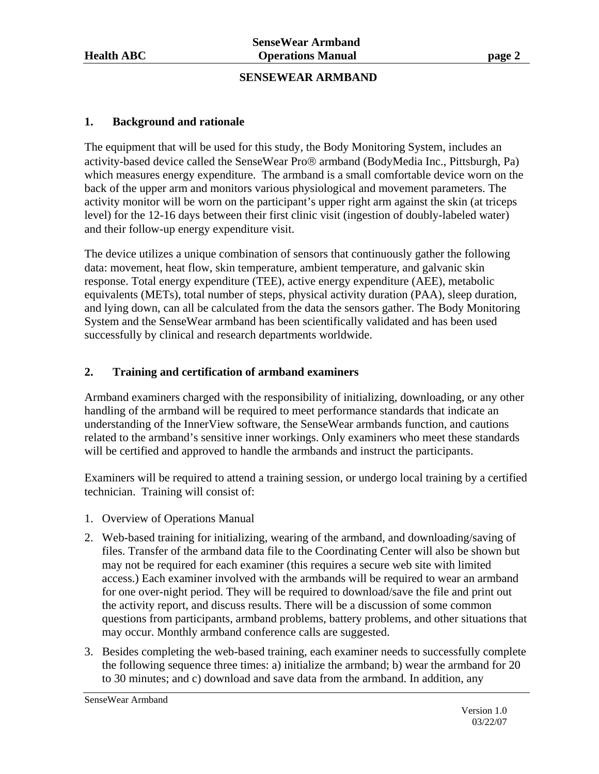#### **SENSEWEAR ARMBAND**

#### **1. Background and rationale**

The equipment that will be used for this study, the Body Monitoring System, includes an activity-based device called the SenseWear Pro® armband (BodyMedia Inc., Pittsburgh, Pa) which measures energy expenditure. The armband is a small comfortable device worn on the back of the upper arm and monitors various physiological and movement parameters. The activity monitor will be worn on the participant's upper right arm against the skin (at triceps level) for the 12-16 days between their first clinic visit (ingestion of doubly-labeled water) and their follow-up energy expenditure visit.

The device utilizes a unique combination of sensors that continuously gather the following data: movement, heat flow, skin temperature, ambient temperature, and galvanic skin response. Total energy expenditure (TEE), active energy expenditure (AEE), metabolic equivalents (METs), total number of steps, physical activity duration (PAA), sleep duration, and lying down, can all be calculated from the data the sensors gather. The Body Monitoring System and the SenseWear armband has been scientifically validated and has been used successfully by clinical and research departments worldwide.

#### **2. Training and certification of armband examiners**

Armband examiners charged with the responsibility of initializing, downloading, or any other handling of the armband will be required to meet performance standards that indicate an understanding of the InnerView software, the SenseWear armbands function, and cautions related to the armband's sensitive inner workings. Only examiners who meet these standards will be certified and approved to handle the armbands and instruct the participants.

Examiners will be required to attend a training session, or undergo local training by a certified technician. Training will consist of:

- 1. Overview of Operations Manual
- 2. Web-based training for initializing, wearing of the armband, and downloading/saving of files. Transfer of the armband data file to the Coordinating Center will also be shown but may not be required for each examiner (this requires a secure web site with limited access.) Each examiner involved with the armbands will be required to wear an armband for one over-night period. They will be required to download/save the file and print out the activity report, and discuss results. There will be a discussion of some common questions from participants, armband problems, battery problems, and other situations that may occur. Monthly armband conference calls are suggested.
- 3. Besides completing the web-based training, each examiner needs to successfully complete the following sequence three times: a) initialize the armband; b) wear the armband for 20 to 30 minutes; and c) download and save data from the armband. In addition, any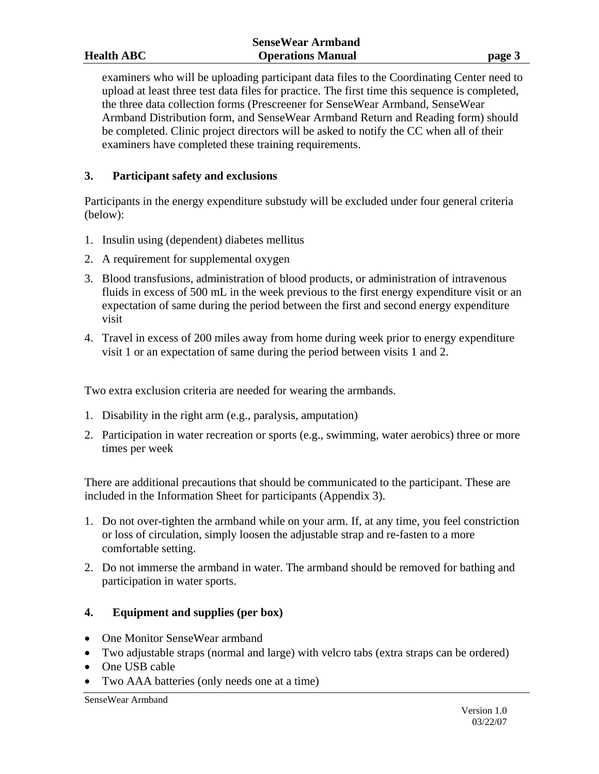examiners who will be uploading participant data files to the Coordinating Center need to upload at least three test data files for practice. The first time this sequence is completed, the three data collection forms (Prescreener for SenseWear Armband, SenseWear Armband Distribution form, and SenseWear Armband Return and Reading form) should be completed. Clinic project directors will be asked to notify the CC when all of their examiners have completed these training requirements.

#### **3. Participant safety and exclusions**

Participants in the energy expenditure substudy will be excluded under four general criteria (below):

- 1. Insulin using (dependent) diabetes mellitus
- 2. A requirement for supplemental oxygen
- 3. Blood transfusions, administration of blood products, or administration of intravenous fluids in excess of 500 mL in the week previous to the first energy expenditure visit or an expectation of same during the period between the first and second energy expenditure visit
- 4. Travel in excess of 200 miles away from home during week prior to energy expenditure visit 1 or an expectation of same during the period between visits 1 and 2.

Two extra exclusion criteria are needed for wearing the armbands.

- 1. Disability in the right arm (e.g., paralysis, amputation)
- 2. Participation in water recreation or sports (e.g., swimming, water aerobics) three or more times per week

There are additional precautions that should be communicated to the participant. These are included in the Information Sheet for participants (Appendix 3).

- 1. Do not over-tighten the armband while on your arm. If, at any time, you feel constriction or loss of circulation, simply loosen the adjustable strap and re-fasten to a more comfortable setting.
- 2. Do not immerse the armband in water. The armband should be removed for bathing and participation in water sports.

#### **4. Equipment and supplies (per box)**

- One Monitor SenseWear armband
- Two adjustable straps (normal and large) with velcro tabs (extra straps can be ordered)
- One USB cable
- Two AAA batteries (only needs one at a time)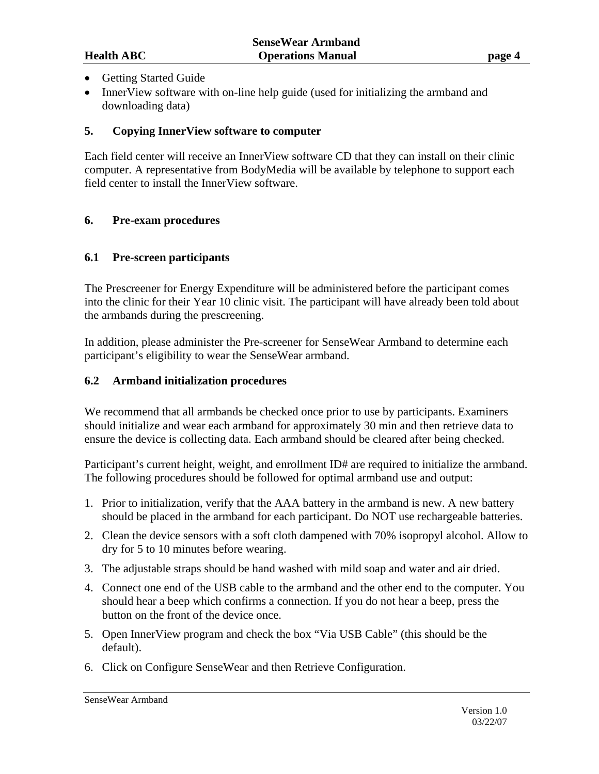- Getting Started Guide
- InnerView software with on-line help guide (used for initializing the armband and downloading data)

#### **5. Copying InnerView software to computer**

Each field center will receive an InnerView software CD that they can install on their clinic computer. A representative from BodyMedia will be available by telephone to support each field center to install the InnerView software.

#### **6. Pre-exam procedures**

#### **6.1 Pre-screen participants**

The Prescreener for Energy Expenditure will be administered before the participant comes into the clinic for their Year 10 clinic visit. The participant will have already been told about the armbands during the prescreening.

In addition, please administer the Pre-screener for SenseWear Armband to determine each participant's eligibility to wear the SenseWear armband.

#### **6.2 Armband initialization procedures**

We recommend that all armbands be checked once prior to use by participants. Examiners should initialize and wear each armband for approximately 30 min and then retrieve data to ensure the device is collecting data. Each armband should be cleared after being checked.

Participant's current height, weight, and enrollment ID# are required to initialize the armband. The following procedures should be followed for optimal armband use and output:

- 1. Prior to initialization, verify that the AAA battery in the armband is new. A new battery should be placed in the armband for each participant. Do NOT use rechargeable batteries.
- 2. Clean the device sensors with a soft cloth dampened with 70% isopropyl alcohol. Allow to dry for 5 to 10 minutes before wearing.
- 3. The adjustable straps should be hand washed with mild soap and water and air dried.
- 4. Connect one end of the USB cable to the armband and the other end to the computer. You should hear a beep which confirms a connection. If you do not hear a beep, press the button on the front of the device once.
- 5. Open InnerView program and check the box "Via USB Cable" (this should be the default).
- 6. Click on Configure SenseWear and then Retrieve Configuration.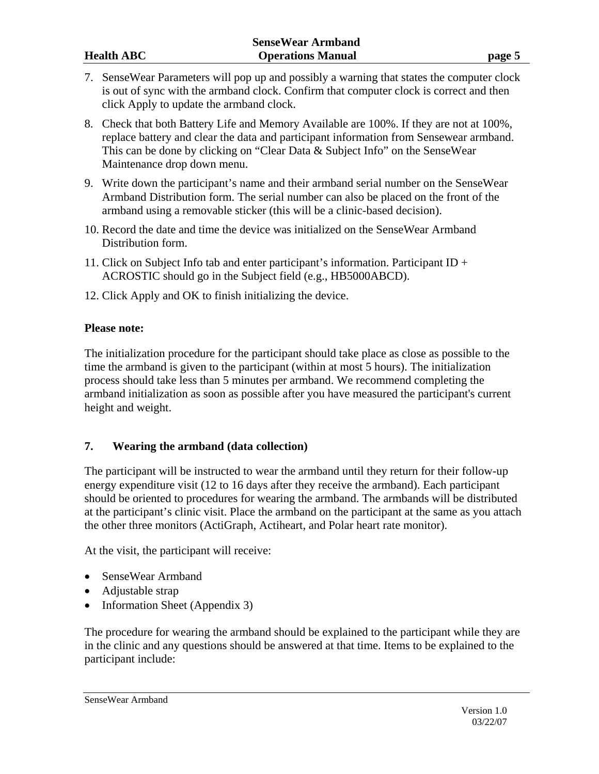- 7. SenseWear Parameters will pop up and possibly a warning that states the computer clock is out of sync with the armband clock. Confirm that computer clock is correct and then click Apply to update the armband clock.
- 8. Check that both Battery Life and Memory Available are 100%. If they are not at 100%, replace battery and clear the data and participant information from Sensewear armband. This can be done by clicking on "Clear Data & Subject Info" on the SenseWear Maintenance drop down menu.
- 9. Write down the participant's name and their armband serial number on the SenseWear Armband Distribution form. The serial number can also be placed on the front of the armband using a removable sticker (this will be a clinic-based decision).
- 10. Record the date and time the device was initialized on the SenseWear Armband Distribution form.
- 11. Click on Subject Info tab and enter participant's information. Participant ID + ACROSTIC should go in the Subject field (e.g., HB5000ABCD).
- 12. Click Apply and OK to finish initializing the device.

#### **Please note:**

The initialization procedure for the participant should take place as close as possible to the time the armband is given to the participant (within at most 5 hours). The initialization process should take less than 5 minutes per armband. We recommend completing the armband initialization as soon as possible after you have measured the participant's current height and weight.

#### **7. Wearing the armband (data collection)**

The participant will be instructed to wear the armband until they return for their follow-up energy expenditure visit (12 to 16 days after they receive the armband). Each participant should be oriented to procedures for wearing the armband. The armbands will be distributed at the participant's clinic visit. Place the armband on the participant at the same as you attach the other three monitors (ActiGraph, Actiheart, and Polar heart rate monitor).

At the visit, the participant will receive:

- SenseWear Armband
- Adjustable strap
- Information Sheet (Appendix 3)

The procedure for wearing the armband should be explained to the participant while they are in the clinic and any questions should be answered at that time. Items to be explained to the participant include: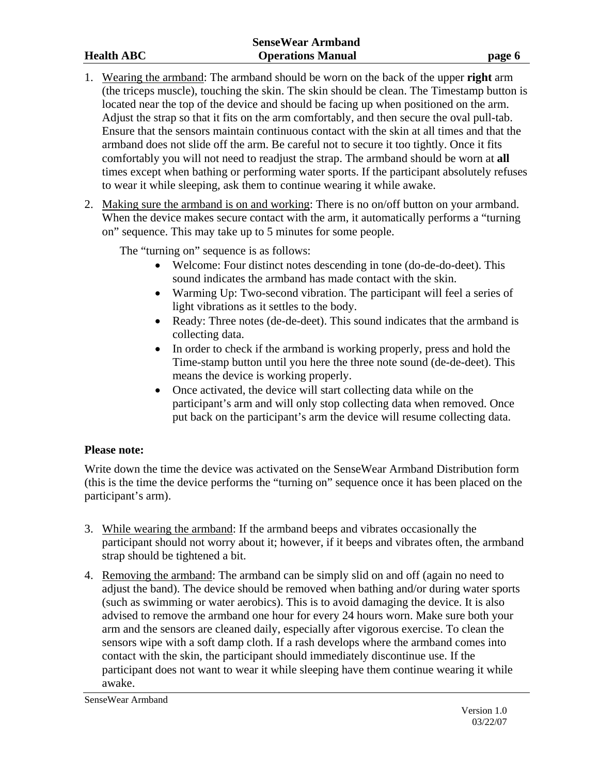- 1. Wearing the armband: The armband should be worn on the back of the upper **right** arm (the triceps muscle), touching the skin. The skin should be clean. The Timestamp button is located near the top of the device and should be facing up when positioned on the arm. Adjust the strap so that it fits on the arm comfortably, and then secure the oval pull-tab. Ensure that the sensors maintain continuous contact with the skin at all times and that the armband does not slide off the arm. Be careful not to secure it too tightly. Once it fits comfortably you will not need to readjust the strap. The armband should be worn at **all** times except when bathing or performing water sports. If the participant absolutely refuses to wear it while sleeping, ask them to continue wearing it while awake.
- 2. Making sure the armband is on and working: There is no on/off button on your armband. When the device makes secure contact with the arm, it automatically performs a "turning" on" sequence. This may take up to 5 minutes for some people.

The "turning on" sequence is as follows:

- Welcome: Four distinct notes descending in tone (do-de-do-deet). This sound indicates the armband has made contact with the skin.
- Warming Up: Two-second vibration. The participant will feel a series of light vibrations as it settles to the body.
- Ready: Three notes (de-de-deet). This sound indicates that the armband is collecting data.
- In order to check if the armband is working properly, press and hold the Time-stamp button until you here the three note sound (de-de-deet). This means the device is working properly.
- Once activated, the device will start collecting data while on the participant's arm and will only stop collecting data when removed. Once put back on the participant's arm the device will resume collecting data.

#### **Please note:**

Write down the time the device was activated on the SenseWear Armband Distribution form (this is the time the device performs the "turning on" sequence once it has been placed on the participant's arm).

- 3. While wearing the armband: If the armband beeps and vibrates occasionally the participant should not worry about it; however, if it beeps and vibrates often, the armband strap should be tightened a bit.
- 4. Removing the armband: The armband can be simply slid on and off (again no need to adjust the band). The device should be removed when bathing and/or during water sports (such as swimming or water aerobics). This is to avoid damaging the device. It is also advised to remove the armband one hour for every 24 hours worn. Make sure both your arm and the sensors are cleaned daily, especially after vigorous exercise. To clean the sensors wipe with a soft damp cloth. If a rash develops where the armband comes into contact with the skin, the participant should immediately discontinue use. If the participant does not want to wear it while sleeping have them continue wearing it while awake.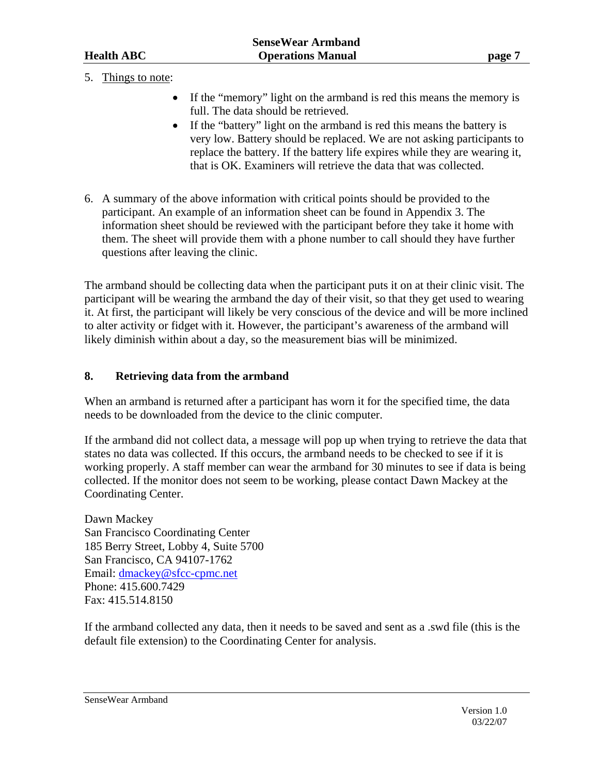5. Things to note:

- If the "memory" light on the armband is red this means the memory is full. The data should be retrieved.
- If the "battery" light on the armband is red this means the battery is very low. Battery should be replaced. We are not asking participants to replace the battery. If the battery life expires while they are wearing it, that is OK. Examiners will retrieve the data that was collected.
- 6. A summary of the above information with critical points should be provided to the participant. An example of an information sheet can be found in Appendix 3. The information sheet should be reviewed with the participant before they take it home with them. The sheet will provide them with a phone number to call should they have further questions after leaving the clinic.

The armband should be collecting data when the participant puts it on at their clinic visit. The participant will be wearing the armband the day of their visit, so that they get used to wearing it. At first, the participant will likely be very conscious of the device and will be more inclined to alter activity or fidget with it. However, the participant's awareness of the armband will likely diminish within about a day, so the measurement bias will be minimized.

#### **8. Retrieving data from the armband**

When an armband is returned after a participant has worn it for the specified time, the data needs to be downloaded from the device to the clinic computer.

If the armband did not collect data, a message will pop up when trying to retrieve the data that states no data was collected. If this occurs, the armband needs to be checked to see if it is working properly. A staff member can wear the armband for 30 minutes to see if data is being collected. If the monitor does not seem to be working, please contact Dawn Mackey at the Coordinating Center.

Dawn Mackey San Francisco Coordinating Center 185 Berry Street, Lobby 4, Suite 5700 San Francisco, CA 94107-1762 Email: dmackey@sfcc-cpmc.net Phone: 415.600.7429 Fax: 415.514.8150

If the armband collected any data, then it needs to be saved and sent as a .swd file (this is the default file extension) to the Coordinating Center for analysis.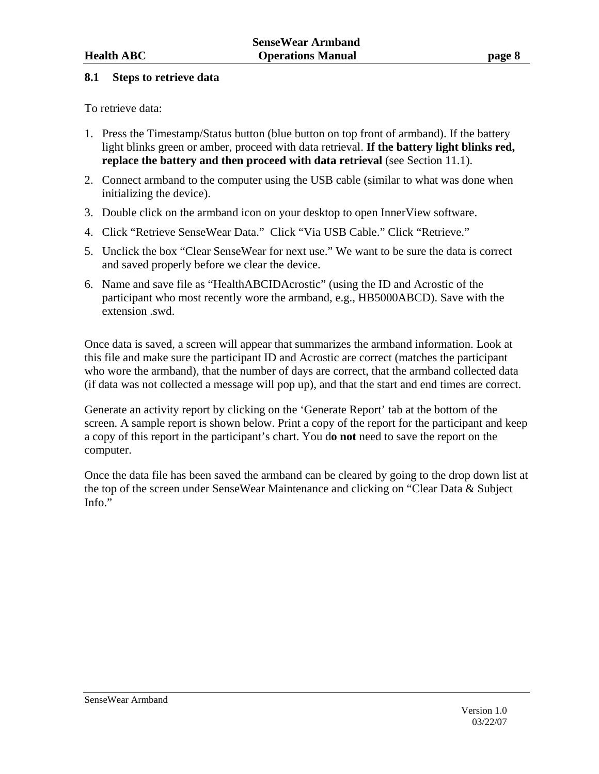#### **8.1 Steps to retrieve data**

To retrieve data:

- 1. Press the Timestamp/Status button (blue button on top front of armband). If the battery light blinks green or amber, proceed with data retrieval. **If the battery light blinks red, replace the battery and then proceed with data retrieval (see Section 11.1).**
- 2. Connect armband to the computer using the USB cable (similar to what was done when initializing the device).
- 3. Double click on the armband icon on your desktop to open InnerView software.
- 4. Click "Retrieve SenseWear Data." Click "Via USB Cable." Click "Retrieve."
- 5. Unclick the box "Clear SenseWear for next use." We want to be sure the data is correct and saved properly before we clear the device.
- 6. Name and save file as "HealthABCIDAcrostic" (using the ID and Acrostic of the participant who most recently wore the armband, e.g., HB5000ABCD). Save with the extension .swd.

Once data is saved, a screen will appear that summarizes the armband information. Look at this file and make sure the participant ID and Acrostic are correct (matches the participant who wore the armband), that the number of days are correct, that the armband collected data (if data was not collected a message will pop up), and that the start and end times are correct.

Generate an activity report by clicking on the 'Generate Report' tab at the bottom of the screen. A sample report is shown below. Print a copy of the report for the participant and keep a copy of this report in the participant's chart. You d**o not** need to save the report on the computer.

Once the data file has been saved the armband can be cleared by going to the drop down list at the top of the screen under SenseWear Maintenance and clicking on "Clear Data & Subject Info."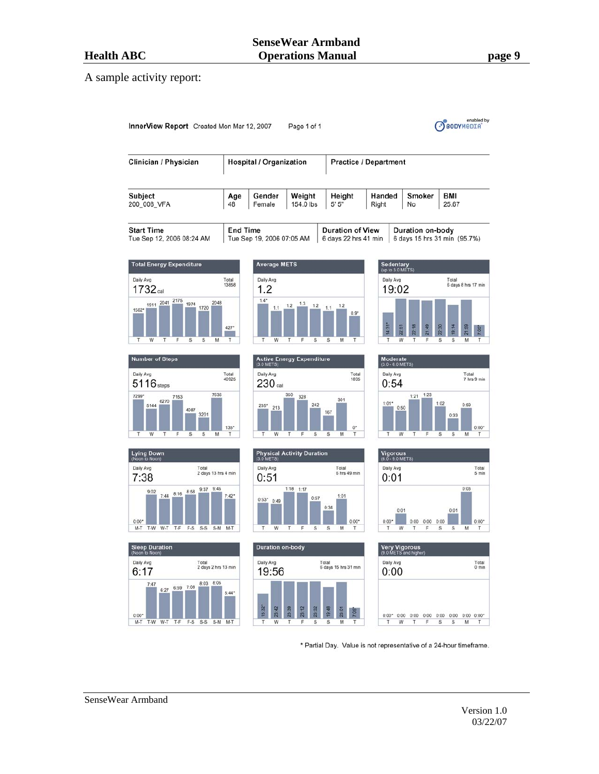#### A sample activity report:



\* Partial Day. Value is not representative of a 24-hour timeframe.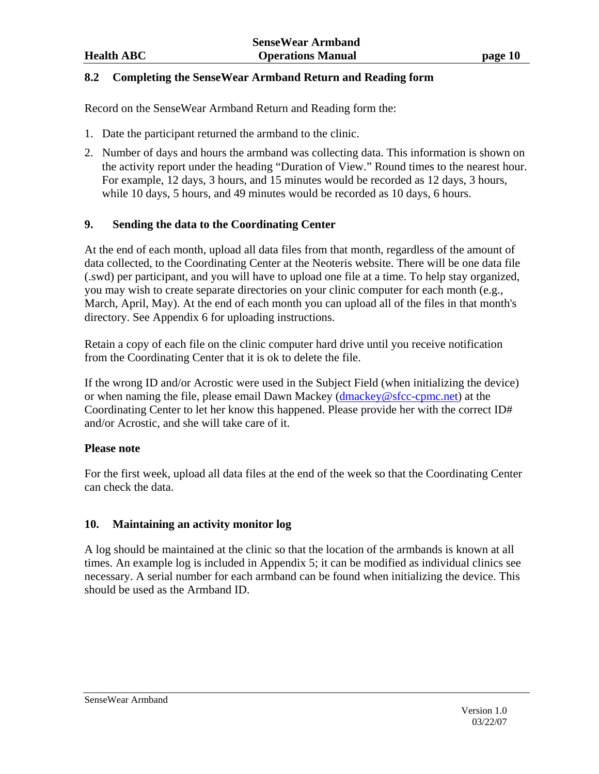#### **8.2 Completing the SenseWear Armband Return and Reading form**

Record on the SenseWear Armband Return and Reading form the:

- 1. Date the participant returned the armband to the clinic.
- 2. Number of days and hours the armband was collecting data. This information is shown on the activity report under the heading "Duration of View." Round times to the nearest hour. For example, 12 days, 3 hours, and 15 minutes would be recorded as 12 days, 3 hours, while 10 days, 5 hours, and 49 minutes would be recorded as 10 days, 6 hours.

#### **9. Sending the data to the Coordinating Center**

At the end of each month, upload all data files from that month, regardless of the amount of data collected, to the Coordinating Center at the Neoteris website. There will be one data file (.swd) per participant, and you will have to upload one file at a time. To help stay organized, you may wish to create separate directories on your clinic computer for each month (e.g., March, April, May). At the end of each month you can upload all of the files in that month's directory. See Appendix 6 for uploading instructions.

Retain a copy of each file on the clinic computer hard drive until you receive notification from the Coordinating Center that it is ok to delete the file.

If the wrong ID and/or Acrostic were used in the Subject Field (when initializing the device) or when naming the file, please email Dawn Mackey (dmackey@sfcc-cpmc.net) at the Coordinating Center to let her know this happened. Please provide her with the correct ID# and/or Acrostic, and she will take care of it.

#### **Please note**

For the first week, upload all data files at the end of the week so that the Coordinating Center can check the data.

#### **10. Maintaining an activity monitor log**

A log should be maintained at the clinic so that the location of the armbands is known at all times. An example log is included in Appendix 5; it can be modified as individual clinics see necessary. A serial number for each armband can be found when initializing the device. This should be used as the Armband ID.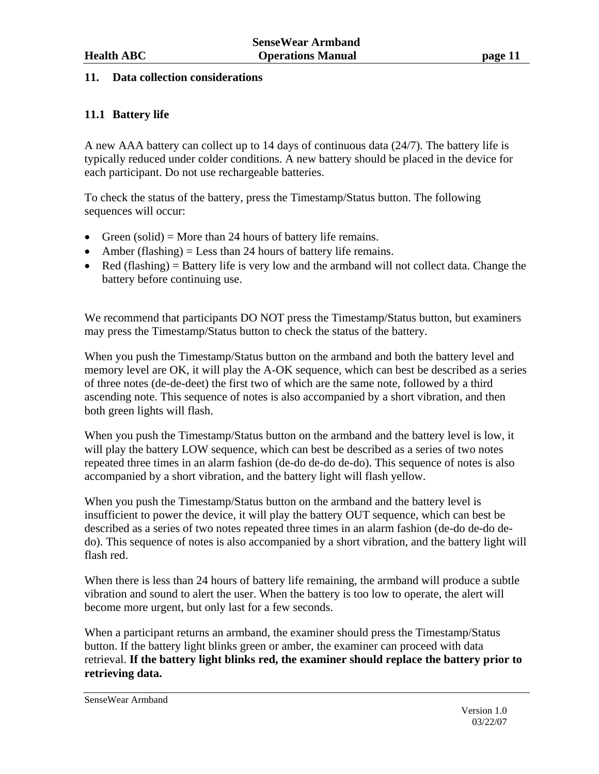#### **11. Data collection considerations**

#### **11.1 Battery life**

A new AAA battery can collect up to 14 days of continuous data (24/7). The battery life is typically reduced under colder conditions. A new battery should be placed in the device for each participant. Do not use rechargeable batteries.

To check the status of the battery, press the Timestamp/Status button. The following sequences will occur:

- Green (solid) = More than 24 hours of battery life remains.
- Amber (flashing)  $=$  Less than 24 hours of battery life remains.
- Red (flashing) = Battery life is very low and the armband will not collect data. Change the battery before continuing use.

We recommend that participants DO NOT press the Timestamp/Status button, but examiners may press the Timestamp/Status button to check the status of the battery.

When you push the Timestamp/Status button on the armband and both the battery level and memory level are OK, it will play the A-OK sequence, which can best be described as a series of three notes (de-de-deet) the first two of which are the same note, followed by a third ascending note. This sequence of notes is also accompanied by a short vibration, and then both green lights will flash.

When you push the Timestamp/Status button on the armband and the battery level is low, it will play the battery LOW sequence, which can best be described as a series of two notes repeated three times in an alarm fashion (de-do de-do de-do). This sequence of notes is also accompanied by a short vibration, and the battery light will flash yellow.

When you push the Timestamp/Status button on the armband and the battery level is insufficient to power the device, it will play the battery OUT sequence, which can best be described as a series of two notes repeated three times in an alarm fashion (de-do de-do dedo). This sequence of notes is also accompanied by a short vibration, and the battery light will flash red.

When there is less than 24 hours of battery life remaining, the armband will produce a subtle vibration and sound to alert the user. When the battery is too low to operate, the alert will become more urgent, but only last for a few seconds.

When a participant returns an armband, the examiner should press the Timestamp/Status button. If the battery light blinks green or amber, the examiner can proceed with data retrieval. **If the battery light blinks red, the examiner should replace the battery prior to retrieving data.**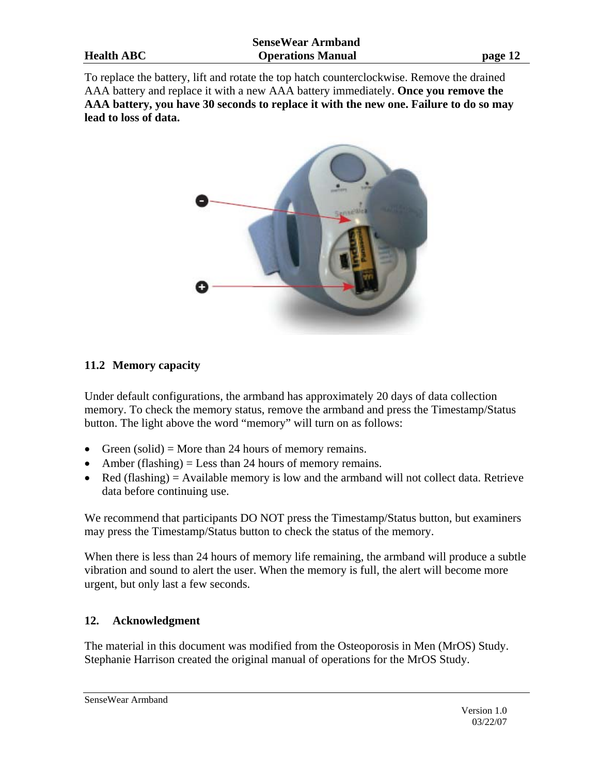To replace the battery, lift and rotate the top hatch counterclockwise. Remove the drained AAA battery and replace it with a new AAA battery immediately. **Once you remove the AAA battery, you have 30 seconds to replace it with the new one. Failure to do so may lead to loss of data.**



#### **11.2 Memory capacity**

Under default configurations, the armband has approximately 20 days of data collection memory. To check the memory status, remove the armband and press the Timestamp/Status button. The light above the word "memory" will turn on as follows:

- Green (solid) = More than 24 hours of memory remains.
- Amber (flashing)  $=$  Less than 24 hours of memory remains.
- Red (flashing) = Available memory is low and the armband will not collect data. Retrieve data before continuing use.

We recommend that participants DO NOT press the Timestamp/Status button, but examiners may press the Timestamp/Status button to check the status of the memory.

When there is less than 24 hours of memory life remaining, the armband will produce a subtle vibration and sound to alert the user. When the memory is full, the alert will become more urgent, but only last a few seconds.

#### **12. Acknowledgment**

The material in this document was modified from the Osteoporosis in Men (MrOS) Study. Stephanie Harrison created the original manual of operations for the MrOS Study.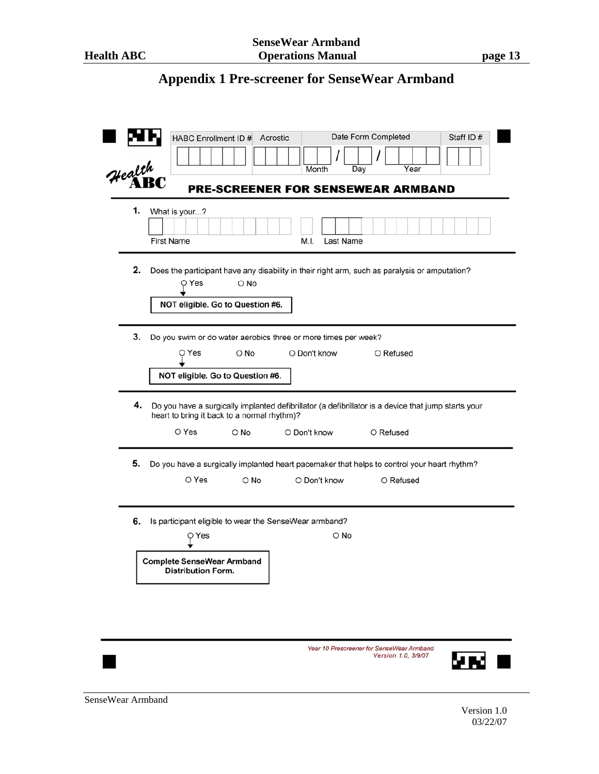### **Appendix 1 Pre-screener for SenseWear Armband**

| Health | Date Form Completed<br>HABC Enrollment ID # Acrostic<br>Staff ID#<br>Year<br>Month<br>Day                                                                                                        |
|--------|--------------------------------------------------------------------------------------------------------------------------------------------------------------------------------------------------|
|        | <b>PRE-SCREENER FOR SENSEWEAR ARMBAND</b>                                                                                                                                                        |
| 1.     | What is your?<br><b>First Name</b><br>Last Name<br>M.I.                                                                                                                                          |
| 2.     | Does the participant have any disability in their right arm, such as paralysis or amputation?<br>O Yes<br>O No<br>NOT eligible. Go to Question #6.                                               |
| 3.     | Do you swim or do water aerobics three or more times per week?<br>O Don't know<br>O Refused<br>O Yes<br>O No<br>NOT eligible. Go to Question #6.                                                 |
| 4.     | Do you have a surgically implanted defibrillator (a defibrillator is a device that jump starts your<br>heart to bring it back to a normal rhythm)?<br>O Yes<br>O No<br>O Don't know<br>O Refused |
|        |                                                                                                                                                                                                  |
| 5.     | Do you have a surgically implanted heart pacemaker that helps to control your heart rhythm?<br>O Yes<br>O Don't know<br>O No<br>O Refused                                                        |
| 6.     | Is participant eligible to wear the SenseWear armband?<br>O No<br>O Yes                                                                                                                          |
|        | <b>Complete SenseWear Armband</b><br><b>Distribution Form.</b>                                                                                                                                   |
|        |                                                                                                                                                                                                  |
|        | Year 10 Prescreener for SenseWear Armhand                                                                                                                                                        |

Version 1.0, 3/9/07

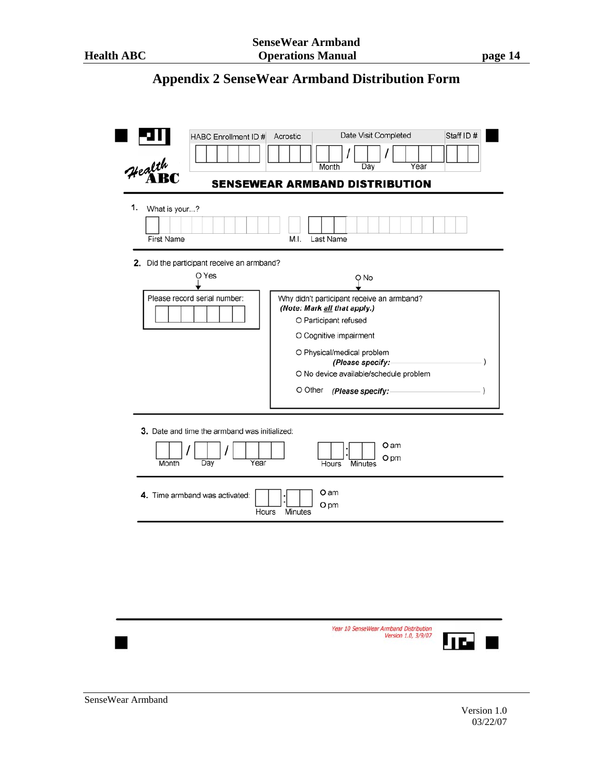## **Appendix 2 SenseWear Armband Distribution Form**

| Health                            |                                                                                     | Year<br>Month<br>Day<br><b>SENSEWEAR ARMBAND DISTRIBUTION</b>                                                                                                                                                                                                 |  |
|-----------------------------------|-------------------------------------------------------------------------------------|---------------------------------------------------------------------------------------------------------------------------------------------------------------------------------------------------------------------------------------------------------------|--|
| 1.<br>What is your?<br>First Name |                                                                                     | Last Name<br>M.I.                                                                                                                                                                                                                                             |  |
|                                   | 2. Did the participant receive an armband?<br>O Yes<br>Please record serial number: | Q No<br>Why didn't participant receive an armband?<br>(Note: Mark all that apply.)<br>O Participant refused<br>O Cognitive impairment<br>O Physical/medical problem<br>(Please specify:<br>O No device available/schedule problem<br>O Other (Please specify: |  |
| Month                             | 3. Date and time the armband was initialized:<br>Day<br>Year                        | O am<br>O pm<br>Hours<br>Minutes                                                                                                                                                                                                                              |  |
|                                   | 4. Time armband was activated:<br>Hours                                             | O am<br>O pm<br>Minutes                                                                                                                                                                                                                                       |  |
|                                   |                                                                                     |                                                                                                                                                                                                                                                               |  |
|                                   |                                                                                     |                                                                                                                                                                                                                                                               |  |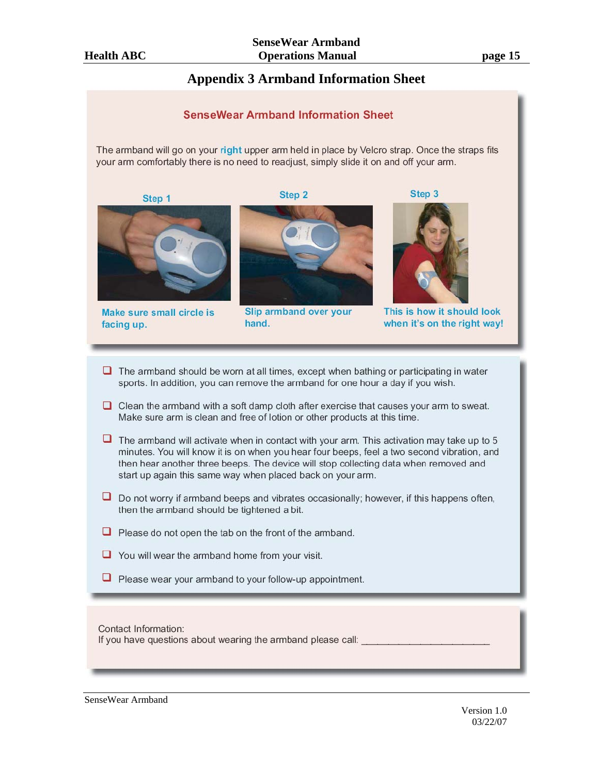#### **Appendix 3 Armband Information Sheet**

# **SenseWear Armband Information Sheet** The armband will go on your right upper arm held in place by Velcro strap. Once the straps fits your arm comfortably there is no need to readjust, simply slide it on and off your arm.

Step 1

Step<sub>2</sub>

Make sure small circle is facing up.



Slip armband over your hand.



This is how it should look when it's on the right way!

- $\Box$  The armband should be worn at all times, except when bathing or participating in water sports. In addition, you can remove the armband for one hour a day if you wish.
- $\Box$  Clean the armband with a soft damp cloth after exercise that causes your arm to sweat. Make sure arm is clean and free of lotion or other products at this time.
- $\Box$  The armband will activate when in contact with your arm. This activation may take up to 5 minutes. You will know it is on when you hear four beeps, feel a two second vibration, and then hear another three beeps. The device will stop collecting data when removed and start up again this same way when placed back on your arm.
- $\Box$  Do not worry if armband beeps and vibrates occasionally; however, if this happens often, then the armband should be tightened a bit.
- $\Box$  Please do not open the tab on the front of the armband.
- $\Box$  You will wear the armband home from your visit.
- $\Box$  Please wear your armband to your follow-up appointment.

#### Contact Information: If you have questions about wearing the armband please call: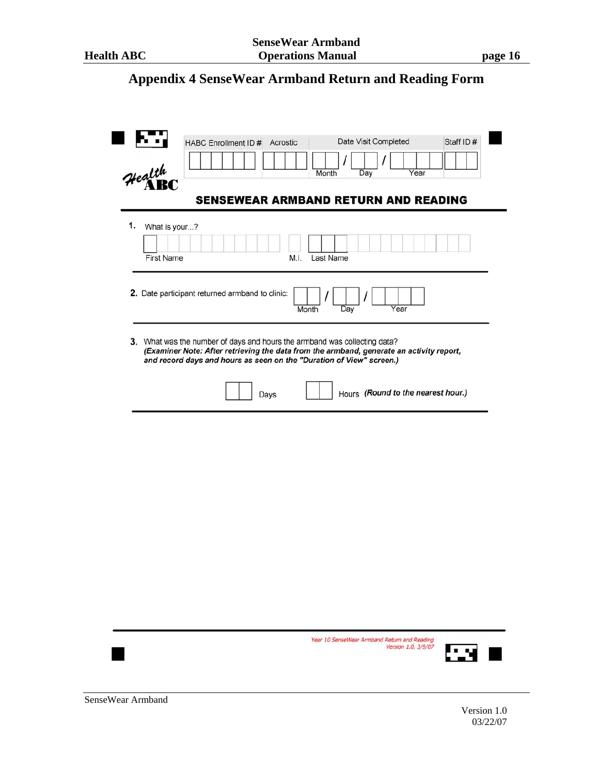## **Appendix 4 SenseWear Armband Return and Reading Form**

|    | <b>SENSEWEAR ARMBAND RETURN AND READING</b>                                                                                                                                                                                                   |
|----|-----------------------------------------------------------------------------------------------------------------------------------------------------------------------------------------------------------------------------------------------|
| 1. | What is your?<br><b>First Name</b><br>Last Name<br>M.I.                                                                                                                                                                                       |
|    | 2. Date participant returned armband to clinic:<br>Year<br>Day<br>Month                                                                                                                                                                       |
|    | 3. What was the number of days and hours the armband was collecting data?<br>(Examiner Note: After retrieving the data from the armband, generate an activity report,<br>and record days and hours as seen on the "Duration of View" screen.) |
|    | Hours (Round to the nearest hour.)<br>Days                                                                                                                                                                                                    |
|    |                                                                                                                                                                                                                                               |
|    |                                                                                                                                                                                                                                               |
|    |                                                                                                                                                                                                                                               |
|    |                                                                                                                                                                                                                                               |
|    |                                                                                                                                                                                                                                               |
|    |                                                                                                                                                                                                                                               |
|    |                                                                                                                                                                                                                                               |
|    |                                                                                                                                                                                                                                               |
|    |                                                                                                                                                                                                                                               |

03/22/07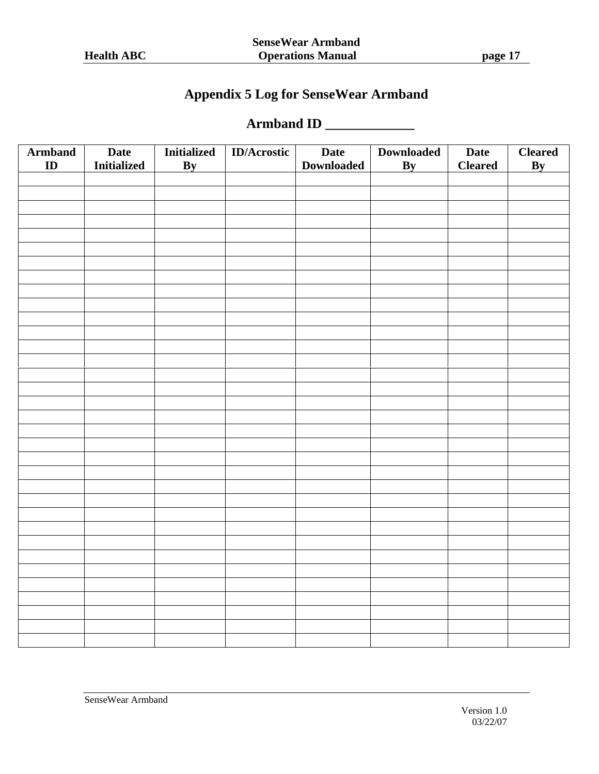## **Appendix 5 Log for SenseWear Armband**

### **Armband ID \_\_\_\_\_\_\_\_\_\_\_\_\_**

| <b>Armband</b><br>ID | <b>Date</b><br><b>Initialized</b> | <b>Initialized</b><br>By | <b>ID/Acrostic</b> | <b>Date</b><br><b>Downloaded</b> | <b>Downloaded</b><br>$\mathbf{By}$ | <b>Date</b><br><b>Cleared</b> | <b>Cleared</b><br>$\overline{\mathbf{By}}$ |
|----------------------|-----------------------------------|--------------------------|--------------------|----------------------------------|------------------------------------|-------------------------------|--------------------------------------------|
|                      |                                   |                          |                    |                                  |                                    |                               |                                            |
|                      |                                   |                          |                    |                                  |                                    |                               |                                            |
|                      |                                   |                          |                    |                                  |                                    |                               |                                            |
|                      |                                   |                          |                    |                                  |                                    |                               |                                            |
|                      |                                   |                          |                    |                                  |                                    |                               |                                            |
|                      |                                   |                          |                    |                                  |                                    |                               |                                            |
|                      |                                   |                          |                    |                                  |                                    |                               |                                            |
|                      |                                   |                          |                    |                                  |                                    |                               |                                            |
|                      |                                   |                          |                    |                                  |                                    |                               |                                            |
|                      |                                   |                          |                    |                                  |                                    |                               |                                            |
|                      |                                   |                          |                    |                                  |                                    |                               |                                            |
|                      |                                   |                          |                    |                                  |                                    |                               |                                            |
|                      |                                   |                          |                    |                                  |                                    |                               |                                            |
|                      |                                   |                          |                    |                                  |                                    |                               |                                            |
|                      |                                   |                          |                    |                                  |                                    |                               |                                            |
|                      |                                   |                          |                    |                                  |                                    |                               |                                            |
|                      |                                   |                          |                    |                                  |                                    |                               |                                            |
|                      |                                   |                          |                    |                                  |                                    |                               |                                            |
|                      |                                   |                          |                    |                                  |                                    |                               |                                            |
|                      |                                   |                          |                    |                                  |                                    |                               |                                            |
|                      |                                   |                          |                    |                                  |                                    |                               |                                            |
|                      |                                   |                          |                    |                                  |                                    |                               |                                            |
|                      |                                   |                          |                    |                                  |                                    |                               |                                            |
|                      |                                   |                          |                    |                                  |                                    |                               |                                            |
|                      |                                   |                          |                    |                                  |                                    |                               |                                            |
|                      |                                   |                          |                    |                                  |                                    |                               |                                            |
|                      |                                   |                          |                    |                                  |                                    |                               |                                            |
|                      |                                   |                          |                    |                                  |                                    |                               |                                            |
|                      |                                   |                          |                    |                                  |                                    |                               |                                            |
|                      |                                   |                          |                    |                                  |                                    |                               |                                            |
|                      |                                   |                          |                    |                                  |                                    |                               |                                            |
|                      |                                   |                          |                    |                                  |                                    |                               |                                            |
|                      |                                   |                          |                    |                                  |                                    |                               |                                            |
|                      |                                   |                          |                    |                                  |                                    |                               |                                            |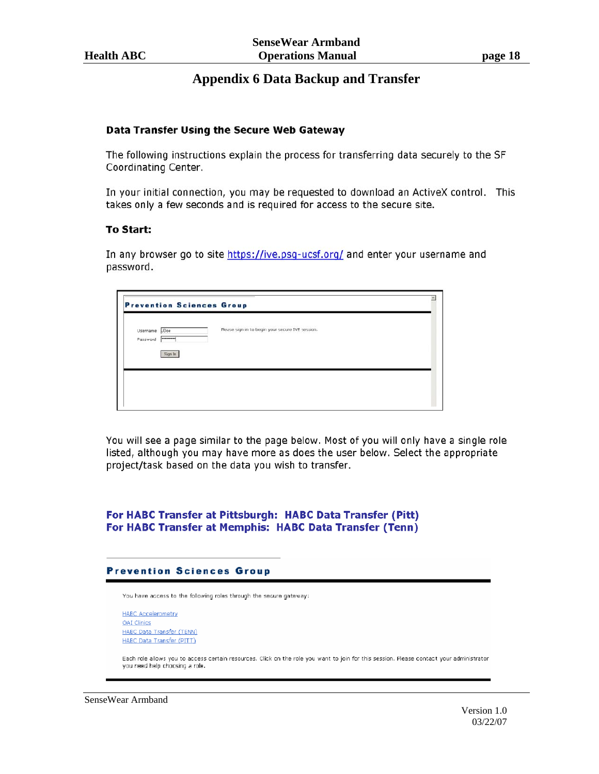#### **Appendix 6 Data Backup and Transfer**

#### Data Transfer Using the Secure Web Gateway

The following instructions explain the process for transferring data securely to the SF Coordinating Center.

In your initial connection, you may be requested to download an ActiveX control. This takes only a few seconds and is required for access to the secure site.

#### **To Start:**

In any browser go to site https://ive.psg-ucsf.org/ and enter your username and password.

|                      |                        | <b>Prevention Sciences Group</b>                 |  |
|----------------------|------------------------|--------------------------------------------------|--|
| Username<br>Password | JDoe<br>$ $ ********** | Please sign in to begin your secure IVE session. |  |
|                      | Sign In                |                                                  |  |
|                      |                        |                                                  |  |

You will see a page similar to the page below. Most of you will only have a single role listed, although you may have more as does the user below. Select the appropriate project/task based on the data you wish to transfer.

#### For HABC Transfer at Pittsburgh: HABC Data Transfer (Pitt) For HABC Transfer at Memphis: HABC Data Transfer (Tenn)

#### **Prevention Sciences Group**

You have access to the following roles through the secure gateway:

**HABC Accelerometry** OAI Clinics HABC Data Transfer (TENN) HABC Data Transfer (PITT)

Each role allows you to access certain resources. Click on the role you want to join for this session. Please contact your administrator you need help choosing a role.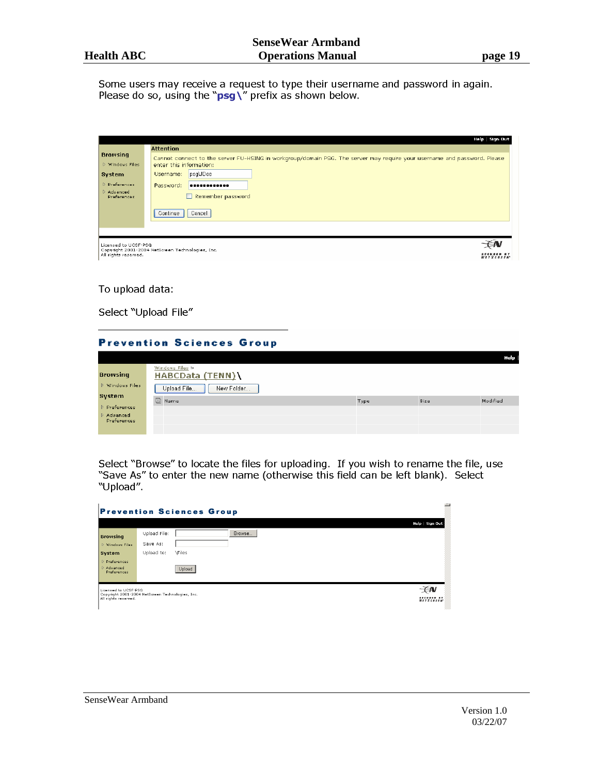Some users may receive a request to type their username and password in again. Please do so, using the " $psg$ " prefix as shown below.

|                                              | Help   Sign Out<br><b>Attention</b>                                                                                                                 |
|----------------------------------------------|-----------------------------------------------------------------------------------------------------------------------------------------------------|
| <b>Browsing</b><br>D Windows Files           | Cannot connect to the server FU-HSING in workgroup/domain PSG. The server may require your username and password. Please<br>enter this information: |
| System<br>D. Preferences                     | psg\JDoe<br>Usemame:<br>Password:<br>                                                                                                               |
| D Advanced<br>Preferences                    | Remember password<br>H                                                                                                                              |
|                                              | Continue<br>Cancel                                                                                                                                  |
|                                              |                                                                                                                                                     |
| Licensed to UCSF-PSG<br>All rights reserved. | Copyright 2001-2004 NetScreen Technologies, Inc.<br><b>SECURED BY</b><br><b>NETSCREEN</b>                                                           |

#### To upload data:

Select "Upload File"

|                           | <b>Prevention Sciences Group</b>    |      |      |          |  |  |
|---------------------------|-------------------------------------|------|------|----------|--|--|
|                           |                                     |      |      | Help     |  |  |
| <b>Browsing</b>           | Windows Files ><br>HABCData (TENN)\ |      |      |          |  |  |
| <b>D</b> Windows Files    | New Folder<br>Upload File           |      |      |          |  |  |
| System                    | <b>图 Name</b>                       | Type | Size | Modified |  |  |
| Preferences<br>D Advanced |                                     |      |      |          |  |  |
| Preferences               |                                     |      |      |          |  |  |
|                           |                                     |      |      |          |  |  |

Select "Browse" to locate the files for uploading. If you wish to rename the file, use "Save As" to enter the new name (otherwise this field can be left blank). Select "Upload".

| <b>Prevention Sciences Group</b>                                                                 |              |               |                                |  |  |
|--------------------------------------------------------------------------------------------------|--------------|---------------|--------------------------------|--|--|
|                                                                                                  |              |               | Help   Sign Out                |  |  |
| <b>Browsing</b>                                                                                  | Upload File: | Browse        |                                |  |  |
| <b>D</b> Windows Files                                                                           | Save As:     |               |                                |  |  |
| <b>System</b>                                                                                    | Upload to:   | <b>\Files</b> |                                |  |  |
| D Preferences<br>D Advanced<br>Preferences                                                       |              | Upload        |                                |  |  |
| Licensed to UCSF-PSG<br>Copyright 2001-2004 NetScreen Technologies, Inc.<br>All rights reserved. |              |               | SECURED BY<br><b>NETSCREEN</b> |  |  |